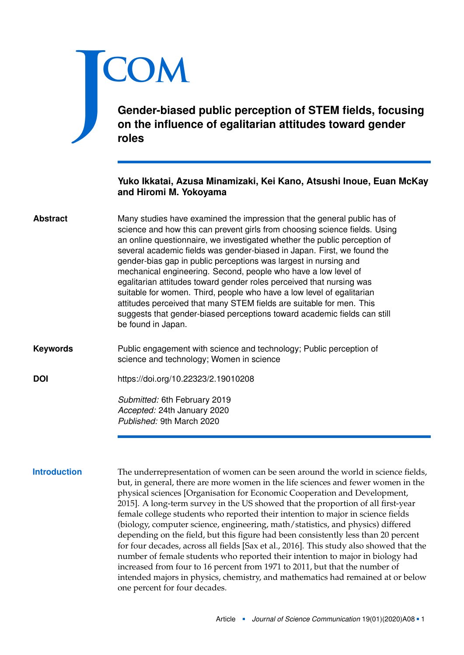# <span id="page-0-0"></span>J **COM**

**Gender-biased public perception of STEM fields, focusing on the influence of egalitarian attitudes toward gender roles**

# **Yuko Ikkatai, Azusa Minamizaki, Kei Kano, Atsushi Inoue, Euan McKay and Hiromi M. Yokoyama**

- Many studies have examined the impression that the general public has of science and how this can prevent girls from choosing science fields. Using an online questionnaire, we investigated whether the public perception of several academic fields was gender-biased in Japan. First, we found the gender-bias gap in public perceptions was largest in nursing and mechanical engineering. Second, people who have a low level of egalitarian attitudes toward gender roles perceived that nursing was suitable for women. Third, people who have a low level of egalitarian attitudes perceived that many STEM fields are suitable for men. This suggests that gender-biased perceptions toward academic fields can still be found in Japan. **Abstract**
- Public engagement with science and technology; Public perception of science and technology; Women in science **Keywords**
- **DOI** <https://doi.org/10.22323/2.19010208>

*Submitted:* 6th February 2019 *Accepted:* 24th January 2020 *Published:* 9th March 2020

**Introduction** The underrepresentation of women can be seen around the world in science fields, but, in general, there are more women in the life sciences and fewer women in the physical sciences [Organisation for Economic Cooperation and Development, [2015\]](#page-17-0). A long-term survey in the US showed that the proportion of all first-year female college students who reported their intention to major in science fields (biology, computer science, engineering, math/statistics, and physics) differed depending on the field, but this figure had been consistently less than 20 percent for four decades, across all fields [Sax et al., [2016\]](#page-17-1). This study also showed that the number of female students who reported their intention to major in biology had increased from four to 16 percent from 1971 to 2011, but that the number of intended majors in physics, chemistry, and mathematics had remained at or below one percent for four decades.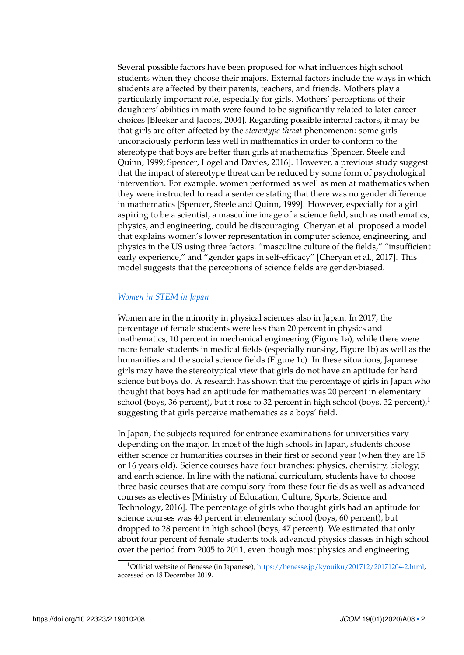Several possible factors have been proposed for what influences high school students when they choose their majors. External factors include the ways in which students are affected by their parents, teachers, and friends. Mothers play a particularly important role, especially for girls. Mothers' perceptions of their daughters' abilities in math were found to be significantly related to later career choices [Bleeker and Jacobs, [2004\]](#page-17-2). Regarding possible internal factors, it may be that girls are often affected by the *stereotype threat* phenomenon: some girls unconsciously perform less well in mathematics in order to conform to the stereotype that boys are better than girls at mathematics [Spencer, Steele and Quinn, [1999;](#page-18-0) Spencer, Logel and Davies, [2016\]](#page-18-1). However, a previous study suggest that the impact of stereotype threat can be reduced by some form of psychological intervention. For example, women performed as well as men at mathematics when they were instructed to read a sentence stating that there was no gender difference in mathematics [Spencer, Steele and Quinn, [1999\]](#page-18-0). However, especially for a girl aspiring to be a scientist, a masculine image of a science field, such as mathematics, physics, and engineering, could be discouraging. Cheryan et al. proposed a model that explains women's lower representation in computer science, engineering, and physics in the US using three factors: "masculine culture of the fields," "insufficient early experience," and "gender gaps in self-efficacy" [Cheryan et al., [2017\]](#page-17-3). This model suggests that the perceptions of science fields are gender-biased.

## *Women in STEM in Japan*

Women are in the minority in physical sciences also in Japan. In 2017, the percentage of female students were less than 20 percent in physics and mathematics, 10 percent in mechanical engineering (Figure [1a](#page-3-0)), while there were more female students in medical fields (especially nursing, Figure [1b](#page-3-0)) as well as the humanities and the social science fields (Figure [1c](#page-3-0)). In these situations, Japanese girls may have the stereotypical view that girls do not have an aptitude for hard science but boys do. A research has shown that the percentage of girls in Japan who thought that boys had an aptitude for mathematics was 20 percent in elementary school (boys, 36 percent), but it rose to 32 percent in high school (boys, 32 percent), $1$ suggesting that girls perceive mathematics as a boys' field.

In Japan, the subjects required for entrance examinations for universities vary depending on the major. In most of the high schools in Japan, students choose either science or humanities courses in their first or second year (when they are 15 or 16 years old). Science courses have four branches: physics, chemistry, biology, and earth science. In line with the national curriculum, students have to choose three basic courses that are compulsory from these four fields as well as advanced courses as electives [Ministry of Education, Culture, Sports, Science and Technology, [2016\]](#page-17-4). The percentage of girls who thought girls had an aptitude for science courses was 40 percent in elementary school (boys, 60 percent), but dropped to 28 percent in high school (boys, 47 percent). We estimated that only about four percent of female students took advanced physics classes in high school over the period from 2005 to 2011, even though most physics and engineering

<sup>1</sup>Official website of Benesse (in Japanese), [https://benesse.jp/kyouiku/201712/20171204-2.html,](https://benesse.jp/kyouiku/201712/20171204-2.html) accessed on 18 December 2019.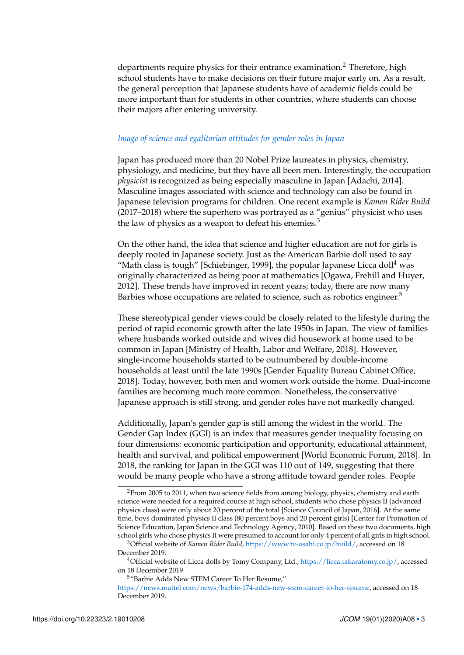departments require physics for their entrance examination.<sup>[2](#page-0-0)</sup> Therefore, high school students have to make decisions on their future major early on. As a result, the general perception that Japanese students have of academic fields could be more important than for students in other countries, where students can choose their majors after entering university.

#### *Image of science and egalitarian attitudes for gender roles in Japan*

Japan has produced more than 20 Nobel Prize laureates in physics, chemistry, physiology, and medicine, but they have all been men. Interestingly, the occupation *physicist* is recognized as being especially masculine in Japan [Adachi, [2014\]](#page-17-5). Masculine images associated with science and technology can also be found in Japanese television programs for children. One recent example is *Kamen Rider Build* (2017–2018) where the superhero was portrayed as a "genius" physicist who uses the law of physics as a weapon to defeat his enemies. $3$ 

On the other hand, the idea that science and higher education are not for girls is deeply rooted in Japanese society. Just as the American Barbie doll used to say "Math class is tough" [Schiebinger, [1999\]](#page-17-6), the popular Japanese Licca doll<sup>[4](#page-0-0)</sup> was originally characterized as being poor at mathematics [Ogawa, Frehill and Huyer, [2012\]](#page-17-7). These trends have improved in recent years; today, there are now many Barbies whose occupations are related to science, such as robotics engineer.<sup>[5](#page-0-0)</sup>

These stereotypical gender views could be closely related to the lifestyle during the period of rapid economic growth after the late 1950s in Japan. The view of families where husbands worked outside and wives did housework at home used to be common in Japan [Ministry of Health, Labor and Welfare, [2018\]](#page-17-8). However, single-income households started to be outnumbered by double-income households at least until the late 1990s [Gender Equality Bureau Cabinet Office, [2018\]](#page-17-9). Today, however, both men and women work outside the home. Dual-income families are becoming much more common. Nonetheless, the conservative Japanese approach is still strong, and gender roles have not markedly changed.

Additionally, Japan's gender gap is still among the widest in the world. The Gender Gap Index (GGI) is an index that measures gender inequality focusing on four dimensions: economic participation and opportunity, educational attainment, health and survival, and political empowerment [World Economic Forum, [2018\]](#page-18-2). In 2018, the ranking for Japan in the GGI was 110 out of 149, suggesting that there would be many people who have a strong attitude toward gender roles. People

<sup>&</sup>lt;sup>2</sup>From 2005 to 2011, when two science fields from among biology, physics, chemistry and earth science were needed for a required course at high school, students who chose physics II (advanced physics class) were only about 20 percent of the total [Science Council of Japan, [2016\]](#page-17-10). At the same time, boys dominated physics II class (80 percent boys and 20 percent girls) [Center for Promotion of Science Education, Japan Science and Technology Agency, [2010\]](#page-17-11). Based on these two documents, high school girls who chose physics II were presumed to account for only 4 percent of all girls in high school.

<sup>3</sup>Official website of *Kamen Rider Build*, [https://www.tv-asahi.co.jp/build/,](https://www.tv-asahi.co.jp/build/) accessed on 18 December 2019.

<sup>&</sup>lt;sup>4</sup>Official website of Licca dolls by Tomy Company, Ltd., [https://licca.takaratomy.co.jp/,](https://licca.takaratomy.co.jp/) accessed on 18 December 2019.

<sup>5</sup>"Barbie Adds New STEM Career To Her Resume,"

[https://news.mattel.com/news/barbie-174-adds-new-stem-career-to-her-resume,](https://news.mattel.com/news/barbie-174-adds-new-stem-career-to-her-resume) accessed on 18 December 2019.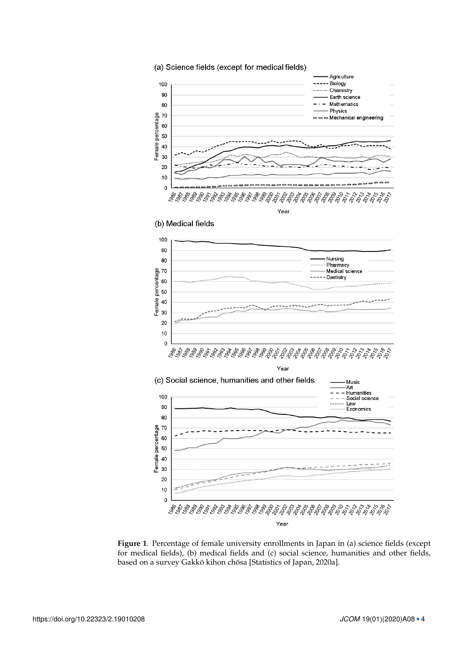

<span id="page-3-0"></span>**Figure 1**. Percentage of female university enrollments in Japan in (a) science fields (except for medical fields), (b) medical fields and (c) social science, humanities and other fields, based on a survey Gakkō kihon chōsa [Statistics of Japan, [2020a\]](#page-18-3).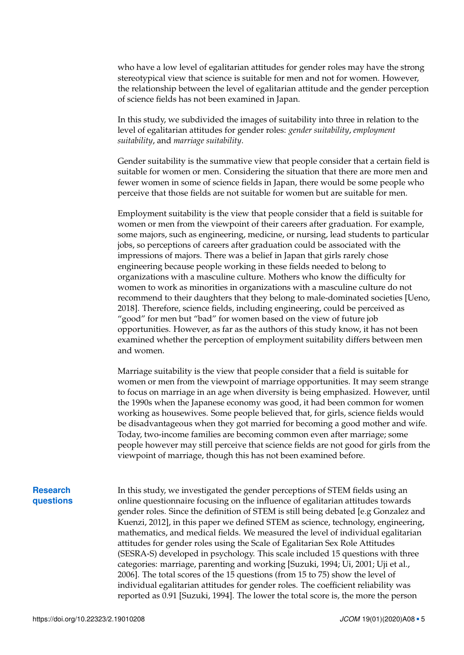who have a low level of egalitarian attitudes for gender roles may have the strong stereotypical view that science is suitable for men and not for women. However, the relationship between the level of egalitarian attitude and the gender perception of science fields has not been examined in Japan.

In this study, we subdivided the images of suitability into three in relation to the level of egalitarian attitudes for gender roles: *gender suitability*, *employment suitability*, and *marriage suitability*.

Gender suitability is the summative view that people consider that a certain field is suitable for women or men. Considering the situation that there are more men and fewer women in some of science fields in Japan, there would be some people who perceive that those fields are not suitable for women but are suitable for men.

Employment suitability is the view that people consider that a field is suitable for women or men from the viewpoint of their careers after graduation. For example, some majors, such as engineering, medicine, or nursing, lead students to particular jobs, so perceptions of careers after graduation could be associated with the impressions of majors. There was a belief in Japan that girls rarely chose engineering because people working in these fields needed to belong to organizations with a masculine culture. Mothers who know the difficulty for women to work as minorities in organizations with a masculine culture do not recommend to their daughters that they belong to male-dominated societies [Ueno, [2018\]](#page-18-4). Therefore, science fields, including engineering, could be perceived as "good" for men but "bad" for women based on the view of future job opportunities. However, as far as the authors of this study know, it has not been examined whether the perception of employment suitability differs between men and women.

Marriage suitability is the view that people consider that a field is suitable for women or men from the viewpoint of marriage opportunities. It may seem strange to focus on marriage in an age when diversity is being emphasized. However, until the 1990s when the Japanese economy was good, it had been common for women working as housewives. Some people believed that, for girls, science fields would be disadvantageous when they got married for becoming a good mother and wife. Today, two-income families are becoming common even after marriage; some people however may still perceive that science fields are not good for girls from the viewpoint of marriage, though this has not been examined before.

# **Research questions**

In this study, we investigated the gender perceptions of STEM fields using an online questionnaire focusing on the influence of egalitarian attitudes towards gender roles. Since the definition of STEM is still being debated [e.g Gonzalez and Kuenzi, [2012\]](#page-17-12), in this paper we defined STEM as science, technology, engineering, mathematics, and medical fields. We measured the level of individual egalitarian attitudes for gender roles using the Scale of Egalitarian Sex Role Attitudes (SESRA-S) developed in psychology. This scale included 15 questions with three categories: marriage, parenting and working [Suzuki, [1994;](#page-18-5) Ui, [2001;](#page-18-6) Uji et al., [2006\]](#page-18-7). The total scores of the 15 questions (from 15 to 75) show the level of individual egalitarian attitudes for gender roles. The coefficient reliability was reported as 0.91 [Suzuki, [1994\]](#page-18-5). The lower the total score is, the more the person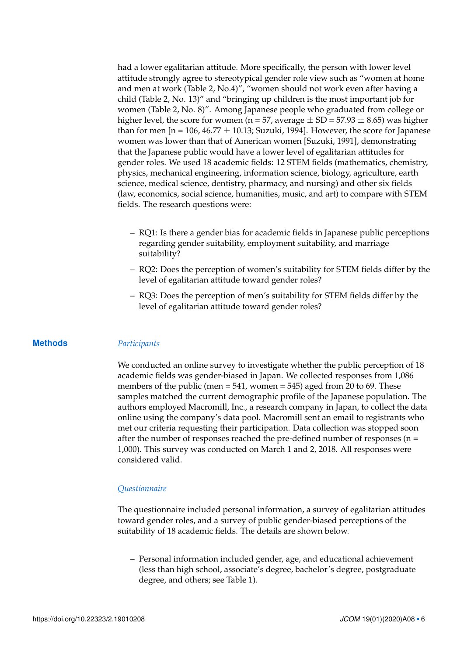had a lower egalitarian attitude. More specifically, the person with lower level attitude strongly agree to stereotypical gender role view such as "women at home and men at work (Table [2,](#page-7-0) No.4)", "women should not work even after having a child (Table [2,](#page-7-0) No. 13)" and "bringing up children is the most important job for women (Table [2,](#page-7-0) No. 8)". Among Japanese people who graduated from college or higher level, the score for women (n = 57, average  $\pm$  SD = 57.93  $\pm$  8.65) was higher than for men  $[n = 106, 46.77 \pm 10.13$ ; Suzuki, [1994\]](#page-18-5). However, the score for Japanese women was lower than that of American women [Suzuki, [1991\]](#page-18-8), demonstrating that the Japanese public would have a lower level of egalitarian attitudes for gender roles. We used 18 academic fields: 12 STEM fields (mathematics, chemistry, physics, mechanical engineering, information science, biology, agriculture, earth science, medical science, dentistry, pharmacy, and nursing) and other six fields (law, economics, social science, humanities, music, and art) to compare with STEM fields. The research questions were:

- RQ1: Is there a gender bias for academic fields in Japanese public perceptions regarding gender suitability, employment suitability, and marriage suitability?
- RQ2: Does the perception of women's suitability for STEM fields differ by the level of egalitarian attitude toward gender roles?
- RQ3: Does the perception of men's suitability for STEM fields differ by the level of egalitarian attitude toward gender roles?

## **Methods** *Participants*

We conducted an online survey to investigate whether the public perception of 18 academic fields was gender-biased in Japan. We collected responses from 1,086 members of the public (men  $= 541$ , women  $= 545$ ) aged from 20 to 69. These samples matched the current demographic profile of the Japanese population. The authors employed Macromill, Inc., a research company in Japan, to collect the data online using the company's data pool. Macromill sent an email to registrants who met our criteria requesting their participation. Data collection was stopped soon after the number of responses reached the pre-defined number of responses  $(n =$ 1,000). This survey was conducted on March 1 and 2, 2018. All responses were considered valid.

## *Questionnaire*

The questionnaire included personal information, a survey of egalitarian attitudes toward gender roles, and a survey of public gender-biased perceptions of the suitability of 18 academic fields. The details are shown below.

– Personal information included gender, age, and educational achievement (less than high school, associate's degree, bachelor's degree, postgraduate degree, and others; see Table [1\)](#page-6-0).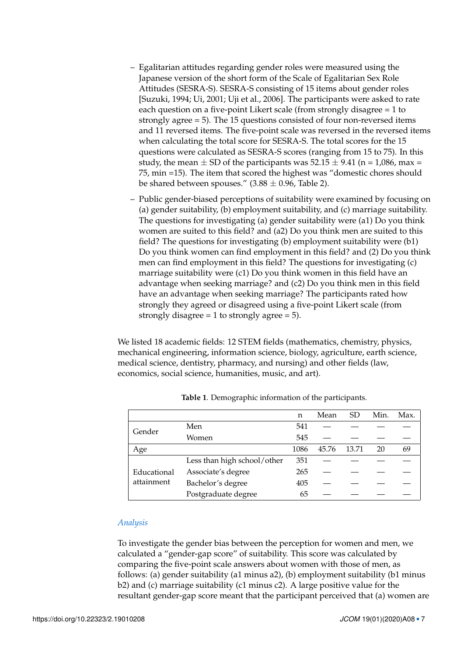- Egalitarian attitudes regarding gender roles were measured using the Japanese version of the short form of the Scale of Egalitarian Sex Role Attitudes (SESRA-S). SESRA-S consisting of 15 items about gender roles [Suzuki, [1994;](#page-18-5) Ui, [2001;](#page-18-6) Uji et al., [2006\]](#page-18-7). The participants were asked to rate each question on a five-point Likert scale (from strongly disagree = 1 to strongly agree = 5). The 15 questions consisted of four non-reversed items and 11 reversed items. The five-point scale was reversed in the reversed items when calculating the total score for SESRA-S. The total scores for the 15 questions were calculated as SESRA-S scores (ranging from 15 to 75). In this study, the mean  $\pm$  SD of the participants was 52.15  $\pm$  9.41 (n = 1,086, max = 75, min =15). The item that scored the highest was "domestic chores should be shared between spouses."  $(3.88 \pm 0.96, 7$ able [2\)](#page-7-0).
- Public gender-biased perceptions of suitability were examined by focusing on (a) gender suitability, (b) employment suitability, and (c) marriage suitability. The questions for investigating (a) gender suitability were (a1) Do you think women are suited to this field? and (a2) Do you think men are suited to this field? The questions for investigating (b) employment suitability were (b1) Do you think women can find employment in this field? and (2) Do you think men can find employment in this field? The questions for investigating (c) marriage suitability were (c1) Do you think women in this field have an advantage when seeking marriage? and (c2) Do you think men in this field have an advantage when seeking marriage? The participants rated how strongly they agreed or disagreed using a five-point Likert scale (from strongly disagree  $= 1$  to strongly agree  $= 5$ ).

We listed 18 academic fields: 12 STEM fields (mathematics, chemistry, physics, mechanical engineering, information science, biology, agriculture, earth science, medical science, dentistry, pharmacy, and nursing) and other fields (law, economics, social science, humanities, music, and art).

|                           |                             | n    | Mean  | <b>SD</b> | Min. | Max. |
|---------------------------|-----------------------------|------|-------|-----------|------|------|
| Gender                    | Men                         | 541  |       |           |      |      |
|                           | Women                       | 545  |       |           |      |      |
| Age                       |                             | 1086 | 45.76 | 13.71     | 20   | 69   |
| Educational<br>attainment | Less than high school/other | 351  |       |           |      |      |
|                           | Associate's degree          | 265  |       |           |      |      |
|                           | Bachelor's degree           | 405  |       |           |      |      |
|                           | Postgraduate degree         | 65   |       |           |      |      |

<span id="page-6-0"></span>**Table 1**. Demographic information of the participants.

# *Analysis*

To investigate the gender bias between the perception for women and men, we calculated a "gender-gap score" of suitability. This score was calculated by comparing the five-point scale answers about women with those of men, as follows: (a) gender suitability (a1 minus a2), (b) employment suitability (b1 minus b2) and (c) marriage suitability (c1 minus c2). A large positive value for the resultant gender-gap score meant that the participant perceived that (a) women are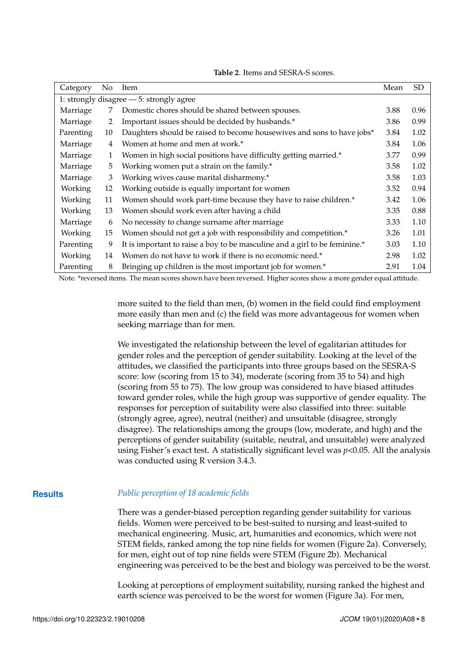| Category                                 | No | Item                                                                       | Mean | <b>SD</b> |  |  |
|------------------------------------------|----|----------------------------------------------------------------------------|------|-----------|--|--|
| 1: strongly disagree - 5: strongly agree |    |                                                                            |      |           |  |  |
| Marriage                                 | 7  | Domestic chores should be shared between spouses.                          | 3.88 | 0.96      |  |  |
| Marriage                                 | 2  | Important issues should be decided by husbands.*                           | 3.86 | 0.99      |  |  |
| Parenting                                | 10 | Daughters should be raised to become housewives and sons to have jobs*     | 3.84 | 1.02      |  |  |
| Marriage                                 | 4  | Women at home and men at work.*                                            | 3.84 | 1.06      |  |  |
| Marriage                                 | 1  | Women in high social positions have difficulty getting married.*           | 3.77 | 0.99      |  |  |
| Marriage                                 | 5  | Working women put a strain on the family.*                                 | 3.58 | 1.02      |  |  |
| Marriage                                 | 3  | Working wives cause marital disharmony.*                                   | 3.58 | 1.03      |  |  |
| Working                                  | 12 | Working outside is equally important for women                             | 3.52 | 0.94      |  |  |
| Working                                  | 11 | Women should work part-time because they have to raise children.*          | 3.42 | 1.06      |  |  |
| Working                                  | 13 | Women should work even after having a child                                | 3.35 | 0.88      |  |  |
| Marriage                                 | 6  | No necessity to change surname after marriage                              | 3.33 | 1.10      |  |  |
| Working                                  | 15 | Women should not get a job with responsibility and competition.*           | 3.26 | 1.01      |  |  |
| Parenting                                | 9  | It is important to raise a boy to be masculine and a girl to be feminine.* | 3.03 | 1.10      |  |  |
| Working                                  | 14 | Women do not have to work if there is no economic need.*                   | 2.98 | 1.02      |  |  |
| Parenting                                | 8  | Bringing up children is the most important job for women.*                 | 2.91 | 1.04      |  |  |

<span id="page-7-0"></span>**Table 2**. Items and SESRA-S scores.

Note. \*reversed items. The mean scores shown have been reversed. Higher scores show a more gender equal attitude.

more suited to the field than men, (b) women in the field could find employment more easily than men and (c) the field was more advantageous for women when seeking marriage than for men.

We investigated the relationship between the level of egalitarian attitudes for gender roles and the perception of gender suitability. Looking at the level of the attitudes, we classified the participants into three groups based on the SESRA-S score: low (scoring from 15 to 34), moderate (scoring from 35 to 54) and high (scoring from 55 to 75). The low group was considered to have biased attitudes toward gender roles, while the high group was supportive of gender equality. The responses for perception of suitability were also classified into three: suitable (strongly agree, agree), neutral (neither) and unsuitable (disagree, strongly disagree). The relationships among the groups (low, moderate, and high) and the perceptions of gender suitability (suitable, neutral, and unsuitable) were analyzed using Fisher's exact test. A statistically significant level was *p*<0.05. All the analysis was conducted using R version 3.4.3.

## **Results** *Public perception of 18 academic fields*

There was a gender-biased perception regarding gender suitability for various fields. Women were perceived to be best-suited to nursing and least-suited to mechanical engineering. Music, art, humanities and economics, which were not STEM fields, ranked among the top nine fields for women (Figure [2a](#page-8-0)). Conversely, for men, eight out of top nine fields were STEM (Figure [2b](#page-8-0)). Mechanical engineering was perceived to be the best and biology was perceived to be the worst.

Looking at perceptions of employment suitability, nursing ranked the highest and earth science was perceived to be the worst for women (Figure [3a](#page-9-0)). For men,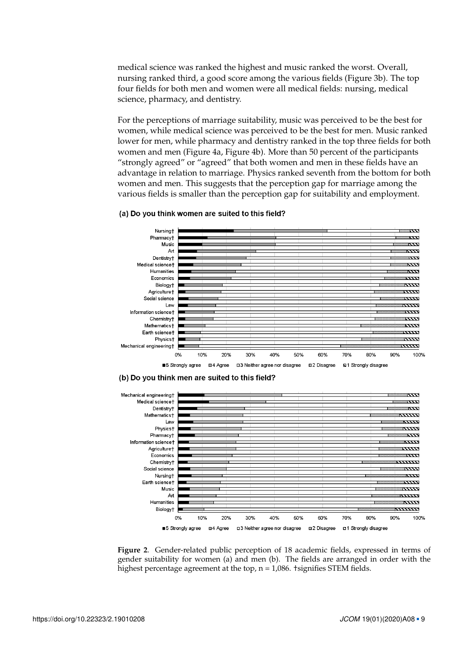medical science was ranked the highest and music ranked the worst. Overall, nursing ranked third, a good score among the various fields (Figure [3b](#page-9-0)). The top four fields for both men and women were all medical fields: nursing, medical science, pharmacy, and dentistry.

For the perceptions of marriage suitability, music was perceived to be the best for women, while medical science was perceived to be the best for men. Music ranked lower for men, while pharmacy and dentistry ranked in the top three fields for both women and men (Figure [4a](#page-10-0), Figure [4b](#page-10-0)). More than 50 percent of the participants "strongly agreed" or "agreed" that both women and men in these fields have an advantage in relation to marriage. Physics ranked seventh from the bottom for both women and men. This suggests that the perception gap for marriage among the various fields is smaller than the perception gap for suitability and employment.

#### (a) Do you think women are suited to this field?



(b) Do you think men are suited to this field?



<span id="page-8-0"></span>**Figure 2**. Gender-related public perception of 18 academic fields, expressed in terms of gender suitability for women (a) and men (b). The fields are arranged in order with the highest percentage agreement at the top,  $n = 1,086$ . †signifies STEM fields.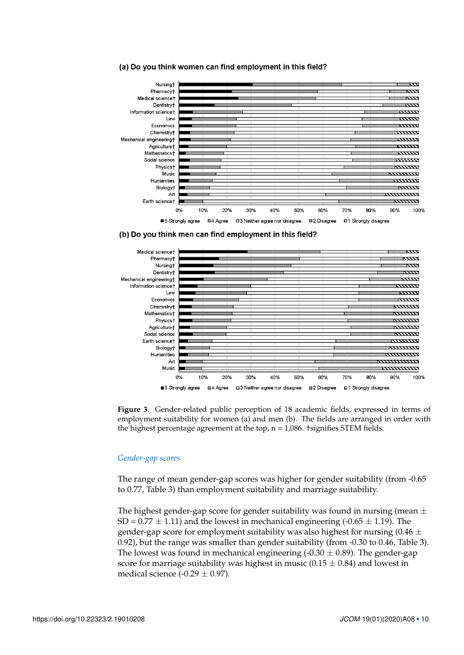

#### (a) Do you think women can find employment in this field?





<span id="page-9-0"></span>

## *Gender-gap scores*

The range of mean gender-gap scores was higher for gender suitability (from -0.65 to 0.77, Table [3\)](#page-11-0) than employment suitability and marriage suitability.

The highest gender-gap score for gender suitability was found in nursing (mean  $\pm$ SD =  $0.77 \pm 1.11$ ) and the lowest in mechanical engineering (- $0.65 \pm 1.19$ ). The gender-gap score for employment suitability was also highest for nursing  $(0.46 \pm 1)$ 0.92), but the range was smaller than gender suitability (from -0.30 to 0.46, Table [3\)](#page-11-0). The lowest was found in mechanical engineering  $(-0.30 \pm 0.89)$ . The gender-gap score for marriage suitability was highest in music ( $0.15 \pm 0.84$ ) and lowest in medical science  $(-0.29 \pm 0.97)$ .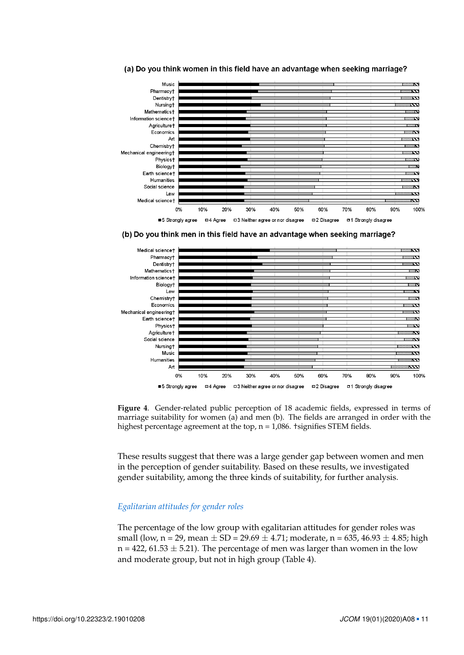

#### (a) Do you think women in this field have an advantage when seeking marriage?

(b) Do you think men in this field have an advantage when seeking marriage?



<span id="page-10-0"></span>

These results suggest that there was a large gender gap between women and men in the perception of gender suitability. Based on these results, we investigated gender suitability, among the three kinds of suitability, for further analysis.

# *Egalitarian attitudes for gender roles*

The percentage of the low group with egalitarian attitudes for gender roles was small (low, n = 29, mean  $\pm$  SD = 29.69  $\pm$  4.71; moderate, n = 635, 46.93  $\pm$  4.85; high  $n = 422, 61.53 \pm 5.21$ . The percentage of men was larger than women in the low and moderate group, but not in high group (Table [4\)](#page-11-1).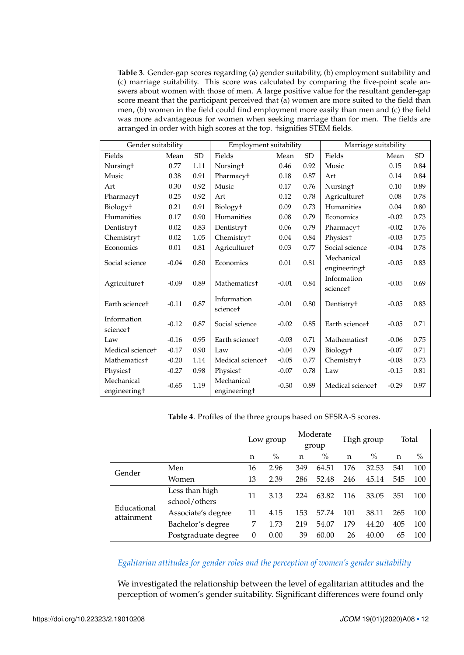<span id="page-11-0"></span>**Table 3**. Gender-gap scores regarding (a) gender suitability, (b) employment suitability and (c) marriage suitability. This score was calculated by comparing the five-point scale answers about women with those of men. A large positive value for the resultant gender-gap score meant that the participant perceived that (a) women are more suited to the field than men, (b) women in the field could find employment more easily than men and (c) the field was more advantageous for women when seeking marriage than for men. The fields are arranged in order with high scores at the top. †signifies STEM fields.

| Gender suitability           |         | Employment suitability |                                |         | Marriage suitability |                              |         |           |
|------------------------------|---------|------------------------|--------------------------------|---------|----------------------|------------------------------|---------|-----------|
| Fields                       | Mean    | <b>SD</b>              | Fields                         | Mean    | <b>SD</b>            | Fields                       | Mean    | <b>SD</b> |
| Nursingt                     | 0.77    | 1.11                   | Nursingt                       | 0.46    | 0.92                 | Music                        | 0.15    | 0.84      |
| Music                        | 0.38    | 0.91                   | Pharmacyt                      | 0.18    | 0.87                 | Art                          | 0.14    | 0.84      |
| Art                          | 0.30    | 0.92                   | Music                          | 0.17    | 0.76                 | Nursing <sup>+</sup>         | 0.10    | 0.89      |
| Pharmacyt                    | 0.25    | 0.92                   | Art                            | 0.12    | 0.78                 | Agriculture <sup>+</sup>     | 0.08    | 0.78      |
| Biology <sup>+</sup>         | 0.21    | 0.91                   | Biology <sup>+</sup>           | 0.09    | 0.73                 | Humanities                   | 0.04    | 0.80      |
| Humanities                   | 0.17    | 0.90                   | Humanities                     | 0.08    | 0.79                 | Economics                    | $-0.02$ | 0.73      |
| Dentistry <sup>+</sup>       | 0.02    | 0.83                   | Dentistry <sup>+</sup>         | 0.06    | 0.79                 | Pharmacy <sup>+</sup>        | $-0.02$ | 0.76      |
| Chemistryt                   | 0.02    | 1.05                   | Chemistry <sup>+</sup>         | 0.04    | 0.84                 | Physicst                     | $-0.03$ | 0.75      |
| Economics                    | 0.01    | 0.81                   | <b>Agriculturet</b>            | 0.03    | 0.77                 | Social science               | $-0.04$ | 0.78      |
| Social science               | $-0.04$ | 0.80                   | Economics                      | 0.01    | 0.81                 | Mechanical<br>engineeringt   | $-0.05$ | 0.83      |
| Agriculture <sup>+</sup>     | $-0.09$ | 0.89                   | <b>Mathematics<sup>+</sup></b> | $-0.01$ | 0.84                 | Information<br>sciencet      | $-0.05$ | 0.69      |
| Earth science <sup>+</sup>   | $-0.11$ | 0.87                   | Information<br>sciencet        | $-0.01$ | 0.80                 | Dentistry <sup>+</sup>       | $-0.05$ | 0.83      |
| Information                  | $-0.12$ | 0.87                   | Social science                 | $-0.02$ | 0.85                 | Earth science <sup>+</sup>   | $-0.05$ | 0.71      |
| sciencet                     |         |                        |                                |         |                      |                              |         |           |
| Law                          | $-0.16$ | 0.95                   | Earth sciencet                 | $-0.03$ | 0.71                 | Mathematics <sup>+</sup>     | $-0.06$ | 0.75      |
| Medical science <sup>+</sup> | $-0.17$ | 0.90                   | Law                            | $-0.04$ | 0.79                 | Biology <sup>+</sup>         | $-0.07$ | 0.71      |
| Mathematics <sup>+</sup>     | $-0.20$ | 1.14                   | Medical science <sup>+</sup>   | $-0.05$ | 0.77                 | Chemistryt                   | $-0.08$ | 0.73      |
| Physicst                     | $-0.27$ | 0.98                   | Physicst                       | $-0.07$ | 0.78                 | Law                          | $-0.15$ | 0.81      |
| Mechanical<br>engineeringt   | $-0.65$ | 1.19                   | Mechanical<br>engineeringt     | $-0.30$ | 0.89                 | Medical science <sup>+</sup> | $-0.29$ | 0.97      |

<span id="page-11-1"></span>**Table 4**. Profiles of the three groups based on SESRA-S scores.

|                           |                                 | Low group |               | Moderate<br>group |       | High group |               | Total |      |
|---------------------------|---------------------------------|-----------|---------------|-------------------|-------|------------|---------------|-------|------|
|                           |                                 | n         | $\frac{0}{0}$ | n                 | $\%$  | n          | $\frac{0}{0}$ | n     | $\%$ |
| Gender                    | Men                             | 16        | 2.96          | 349               | 64.51 | 176        | 32.53         | 541   | 100  |
|                           | Women                           | 13        | 2.39          | 286               | 52.48 | 246        | 45.14         | 545   | 100  |
| Educational<br>attainment | Less than high<br>school/others | 11        | 3.13          | 224               | 63.82 | 116        | 33.05         | 351   | 100  |
|                           | Associate's degree              | 11        | 4.15          | 153               | 57.74 | 101        | 38.11         | 265   | 100  |
|                           | Bachelor's degree               | 7         | 1.73          | 219               | 54.07 | 179        | 44.20         | 405   | 100  |
|                           | Postgraduate degree             | $\theta$  | 0.00          | 39                | 60.00 | 26         | 40.00         | 65    | 100  |

*Egalitarian attitudes for gender roles and the perception of women's gender suitability*

We investigated the relationship between the level of egalitarian attitudes and the perception of women's gender suitability. Significant differences were found only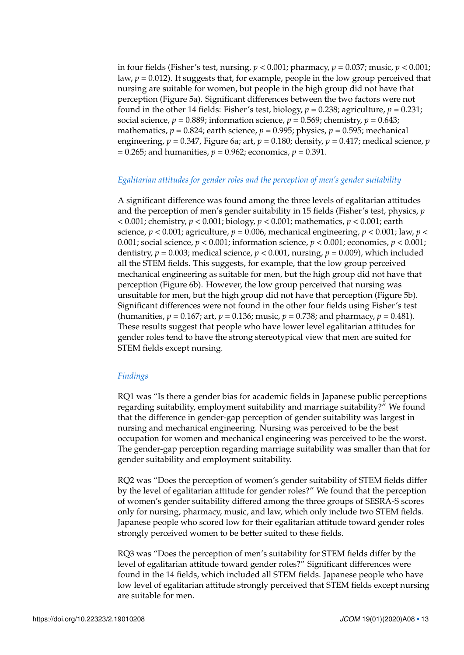in four fields (Fisher's test, nursing, *p* < 0.001; pharmacy, *p* = 0.037; music, *p* < 0.001; law,  $p = 0.012$ ). It suggests that, for example, people in the low group perceived that nursing are suitable for women, but people in the high group did not have that perception (Figure [5a](#page-13-0)). Significant differences between the two factors were not found in the other 14 fields: Fisher's test, biology,  $p = 0.238$ ; agriculture,  $p = 0.231$ ; social science,  $p = 0.889$ ; information science,  $p = 0.569$ ; chemistry,  $p = 0.643$ ; mathematics,  $p = 0.824$ ; earth science,  $p = 0.995$ ; physics,  $p = 0.595$ ; mechanical engineering,  $p = 0.347$ , Figure [6a](#page-14-0); art,  $p = 0.180$ ; density,  $p = 0.417$ ; medical science, *p*  $= 0.265$ ; and humanities,  $p = 0.962$ ; economics,  $p = 0.391$ .

## *Egalitarian attitudes for gender roles and the perception of men's gender suitability*

A significant difference was found among the three levels of egalitarian attitudes and the perception of men's gender suitability in 15 fields (Fisher's test, physics, *p* < 0.001; chemistry, *p* < 0.001; biology, *p* < 0.001; mathematics, *p* < 0.001; earth science,  $p < 0.001$ ; agriculture,  $p = 0.006$ , mechanical engineering,  $p < 0.001$ ; law,  $p <$ 0.001; social science, *p* < 0.001; information science, *p* < 0.001; economics, *p* < 0.001; dentistry,  $p = 0.003$ ; medical science,  $p < 0.001$ , nursing,  $p = 0.009$ ), which included all the STEM fields. This suggests, for example, that the low group perceived mechanical engineering as suitable for men, but the high group did not have that perception (Figure [6b](#page-14-0)). However, the low group perceived that nursing was unsuitable for men, but the high group did not have that perception (Figure [5b](#page-13-0)). Significant differences were not found in the other four fields using Fisher's test (humanities,  $p = 0.167$ ; art,  $p = 0.136$ ; music,  $p = 0.738$ ; and pharmacy,  $p = 0.481$ ). These results suggest that people who have lower level egalitarian attitudes for gender roles tend to have the strong stereotypical view that men are suited for STEM fields except nursing.

# *Findings*

RQ1 was "Is there a gender bias for academic fields in Japanese public perceptions regarding suitability, employment suitability and marriage suitability?" We found that the difference in gender-gap perception of gender suitability was largest in nursing and mechanical engineering. Nursing was perceived to be the best occupation for women and mechanical engineering was perceived to be the worst. The gender-gap perception regarding marriage suitability was smaller than that for gender suitability and employment suitability.

RQ2 was "Does the perception of women's gender suitability of STEM fields differ by the level of egalitarian attitude for gender roles?" We found that the perception of women's gender suitability differed among the three groups of SESRA-S scores only for nursing, pharmacy, music, and law, which only include two STEM fields. Japanese people who scored low for their egalitarian attitude toward gender roles strongly perceived women to be better suited to these fields.

RQ3 was "Does the perception of men's suitability for STEM fields differ by the level of egalitarian attitude toward gender roles?" Significant differences were found in the 14 fields, which included all STEM fields. Japanese people who have low level of egalitarian attitude strongly perceived that STEM fields except nursing are suitable for men.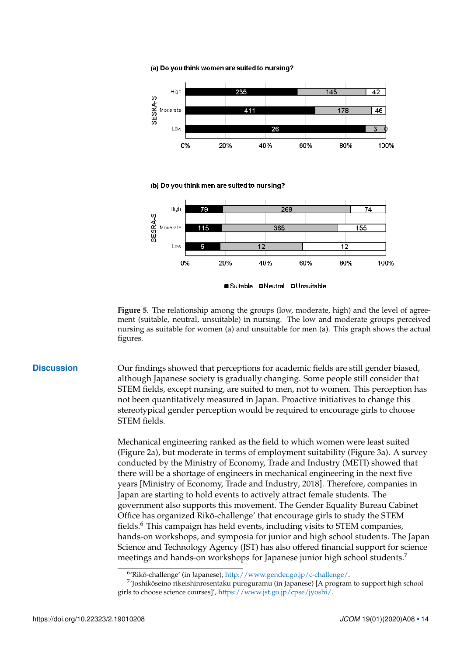(a) Do you think women are suited to nursing?



■Suitable **■Neutral □Unsuitable** 

<span id="page-13-0"></span>**Figure 5**. The relationship among the groups (low, moderate, high) and the level of agreement (suitable, neutral, unsuitable) in nursing. The low and moderate groups perceived nursing as suitable for women (a) and unsuitable for men (a). This graph shows the actual figures.

**Discussion** Our findings showed that perceptions for academic fields are still gender biased, although Japanese society is gradually changing. Some people still consider that STEM fields, except nursing, are suited to men, not to women. This perception has not been quantitatively measured in Japan. Proactive initiatives to change this stereotypical gender perception would be required to encourage girls to choose STEM fields.

> Mechanical engineering ranked as the field to which women were least suited (Figure [2a](#page-8-0)), but moderate in terms of employment suitability (Figure [3a](#page-9-0)). A survey conducted by the Ministry of Economy, Trade and Industry (METI) showed that there will be a shortage of engineers in mechanical engineering in the next five years [Ministry of Economy, Trade and Industry, [2018\]](#page-17-13). Therefore, companies in Japan are starting to hold events to actively attract female students. The government also supports this movement. The Gender Equality Bureau Cabinet Office has organized Rikō-challenge' that encourage girls to study the STEM fields.<sup>[6](#page-0-0)</sup> This campaign has held events, including visits to STEM companies, hands-on workshops, and symposia for junior and high school students. The Japan Science and Technology Agency (JST) has also offered financial support for science meetings and hands-on workshops for Japanese junior high school students.<sup>[7](#page-0-0)</sup>

<sup>&</sup>lt;sup>6</sup>'Rikō-challenge' (in Japanese), [http://www.gender.go.jp/c-challenge/.](http://www.gender.go.jp/c-challenge/)

 $^{7}$ Joshikōseino rikeishinrosentaku puroguramu (in Japanese) [A program to support high school girls to choose science courses]', [https://www.jst.go.jp/cpse/jyoshi/.](https://www.jst.go.jp/cpse/jyoshi/)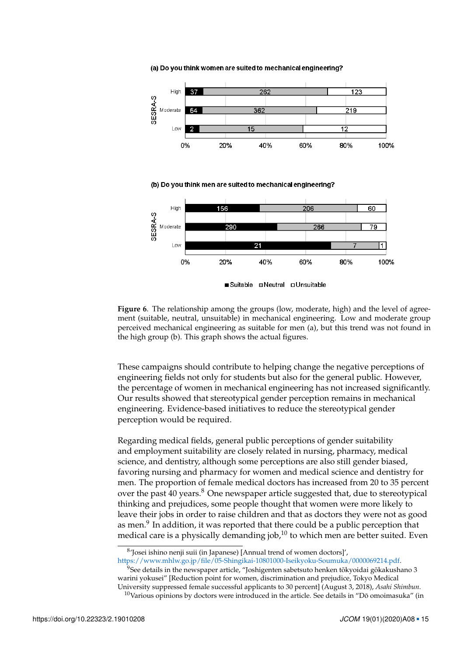(a) Do you think women are suited to mechanical engineering?



(b) Do you think men are suited to mechanical engineering?



<span id="page-14-0"></span>**Figure 6**. The relationship among the groups (low, moderate, high) and the level of agreement (suitable, neutral, unsuitable) in mechanical engineering. Low and moderate group perceived mechanical engineering as suitable for men (a), but this trend was not found in the high group (b). This graph shows the actual figures.

These campaigns should contribute to helping change the negative perceptions of engineering fields not only for students but also for the general public. However, the percentage of women in mechanical engineering has not increased significantly. Our results showed that stereotypical gender perception remains in mechanical engineering. Evidence-based initiatives to reduce the stereotypical gender perception would be required.

Regarding medical fields, general public perceptions of gender suitability and employment suitability are closely related in nursing, pharmacy, medical science, and dentistry, although some perceptions are also still gender biased, favoring nursing and pharmacy for women and medical science and dentistry for men. The proportion of female medical doctors has increased from 20 to 35 percent over the past 40 years.<sup>[8](#page-0-0)</sup> One newspaper article suggested that, due to stereotypical thinking and prejudices, some people thought that women were more likely to leave their jobs in order to raise children and that as doctors they were not as good as men.<sup>[9](#page-0-0)</sup> In addition, it was reported that there could be a public perception that medical care is a physically demanding job, $10$  to which men are better suited. Even

[https://www.mhlw.go.jp/file/05-Shingikai-10801000-Iseikyoku-Soumuka/0000069214.pdf.](https://www.mhlw.go.jp/file/05-Shingikai-10801000-Iseikyoku-Soumuka/0000069214.pdf)  $^{9}$ See details in the newspaper article, "Joshigenten sabetsuto henken tōkyoidai gōkakushano 3 warini yokusei" [Reduction point for women, discrimination and prejudice, Tokyo Medical

<sup>8</sup> 'Josei ishino nenji suii (in Japanese) [Annual trend of women doctors]',

University suppressed female successful applicants to 30 percent] (August 3, 2018), *Asahi Shimbun*.

 $10$ Various opinions by doctors were introduced in the article. See details in "Dō omoimasuka" (in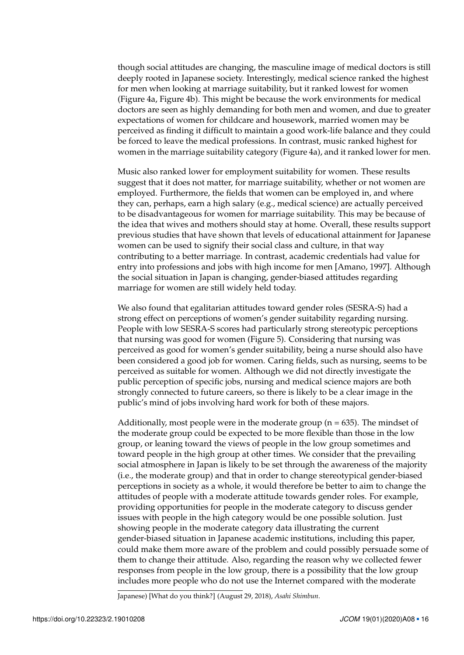though social attitudes are changing, the masculine image of medical doctors is still deeply rooted in Japanese society. Interestingly, medical science ranked the highest for men when looking at marriage suitability, but it ranked lowest for women (Figure [4a](#page-10-0), Figure [4b](#page-10-0)). This might be because the work environments for medical doctors are seen as highly demanding for both men and women, and due to greater expectations of women for childcare and housework, married women may be perceived as finding it difficult to maintain a good work-life balance and they could be forced to leave the medical professions. In contrast, music ranked highest for women in the marriage suitability category (Figure [4a](#page-10-0)), and it ranked lower for men.

Music also ranked lower for employment suitability for women. These results suggest that it does not matter, for marriage suitability, whether or not women are employed. Furthermore, the fields that women can be employed in, and where they can, perhaps, earn a high salary (e.g., medical science) are actually perceived to be disadvantageous for women for marriage suitability. This may be because of the idea that wives and mothers should stay at home. Overall, these results support previous studies that have shown that levels of educational attainment for Japanese women can be used to signify their social class and culture, in that way contributing to a better marriage. In contrast, academic credentials had value for entry into professions and jobs with high income for men [Amano, [1997\]](#page-17-14). Although the social situation in Japan is changing, gender-biased attitudes regarding marriage for women are still widely held today.

We also found that egalitarian attitudes toward gender roles (SESRA-S) had a strong effect on perceptions of women's gender suitability regarding nursing. People with low SESRA-S scores had particularly strong stereotypic perceptions that nursing was good for women (Figure [5\)](#page-13-0). Considering that nursing was perceived as good for women's gender suitability, being a nurse should also have been considered a good job for women. Caring fields, such as nursing, seems to be perceived as suitable for women. Although we did not directly investigate the public perception of specific jobs, nursing and medical science majors are both strongly connected to future careers, so there is likely to be a clear image in the public's mind of jobs involving hard work for both of these majors.

Additionally, most people were in the moderate group ( $n = 635$ ). The mindset of the moderate group could be expected to be more flexible than those in the low group, or leaning toward the views of people in the low group sometimes and toward people in the high group at other times. We consider that the prevailing social atmosphere in Japan is likely to be set through the awareness of the majority (i.e., the moderate group) and that in order to change stereotypical gender-biased perceptions in society as a whole, it would therefore be better to aim to change the attitudes of people with a moderate attitude towards gender roles. For example, providing opportunities for people in the moderate category to discuss gender issues with people in the high category would be one possible solution. Just showing people in the moderate category data illustrating the current gender-biased situation in Japanese academic institutions, including this paper, could make them more aware of the problem and could possibly persuade some of them to change their attitude. Also, regarding the reason why we collected fewer responses from people in the low group, there is a possibility that the low group includes more people who do not use the Internet compared with the moderate

Japanese) [What do you think?] (August 29, 2018), *Asahi Shimbun*.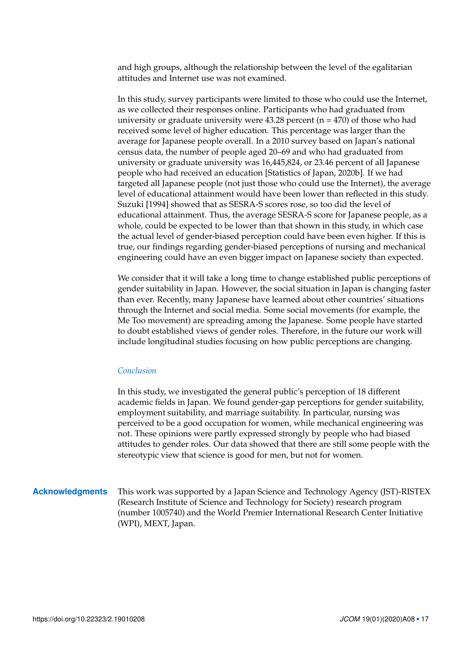and high groups, although the relationship between the level of the egalitarian attitudes and Internet use was not examined.

In this study, survey participants were limited to those who could use the Internet, as we collected their responses online. Participants who had graduated from university or graduate university were  $43.28$  percent (n = 470) of those who had received some level of higher education. This percentage was larger than the average for Japanese people overall. In a 2010 survey based on Japan's national census data, the number of people aged 20–69 and who had graduated from university or graduate university was 16,445,824, or 23.46 percent of all Japanese people who had received an education [Statistics of Japan, [2020b\]](#page-18-9). If we had targeted all Japanese people (not just those who could use the Internet), the average level of educational attainment would have been lower than reflected in this study. Suzuki [\[1994\]](#page-18-5) showed that as SESRA-S scores rose, so too did the level of educational attainment. Thus, the average SESRA-S score for Japanese people, as a whole, could be expected to be lower than that shown in this study, in which case the actual level of gender-biased perception could have been even higher. If this is true, our findings regarding gender-biased perceptions of nursing and mechanical engineering could have an even bigger impact on Japanese society than expected.

We consider that it will take a long time to change established public perceptions of gender suitability in Japan. However, the social situation in Japan is changing faster than ever. Recently, many Japanese have learned about other countries' situations through the Internet and social media. Some social movements (for example, the Me Too movement) are spreading among the Japanese. Some people have started to doubt established views of gender roles. Therefore, in the future our work will include longitudinal studies focusing on how public perceptions are changing.

## *Conclusion*

In this study, we investigated the general public's perception of 18 different academic fields in Japan. We found gender-gap perceptions for gender suitability, employment suitability, and marriage suitability. In particular, nursing was perceived to be a good occupation for women, while mechanical engineering was not. These opinions were partly expressed strongly by people who had biased attitudes to gender roles. Our data showed that there are still some people with the stereotypic view that science is good for men, but not for women.

**Acknowledgments** This work was supported by a Japan Science and Technology Agency (JST)-RISTEX (Research Institute of Science and Technology for Society) research program (number 1005740) and the World Premier International Research Center Initiative (WPI), MEXT, Japan.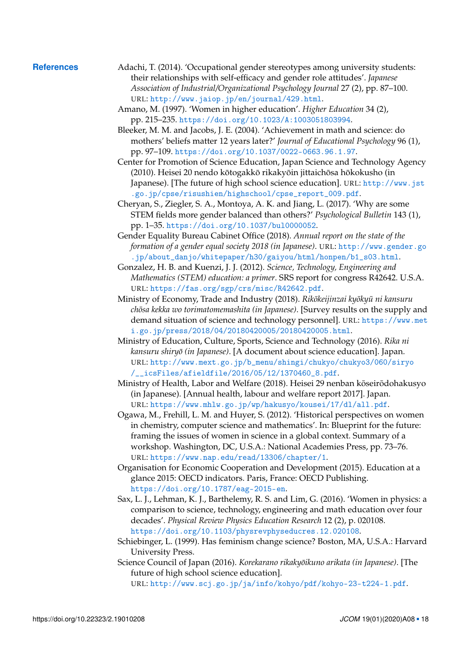- <span id="page-17-14"></span><span id="page-17-13"></span><span id="page-17-12"></span><span id="page-17-11"></span><span id="page-17-9"></span><span id="page-17-5"></span><span id="page-17-3"></span><span id="page-17-2"></span>**References** Adachi, T. (2014). 'Occupational gender stereotypes among university students: their relationships with self-efficacy and gender role attitudes'. *Japanese Association of Industrial/Organizational Psychology Journal* 27 (2), pp. 87–100. URL: <http://www.jaiop.jp/en/journal/429.html>.
	- Amano, M. (1997). 'Women in higher education'. *Higher Education* 34 (2), pp. 215–235. <https://doi.org/10.1023/A:1003051803994>.
	- Bleeker, M. M. and Jacobs, J. E. (2004). 'Achievement in math and science: do mothers' beliefs matter 12 years later?' *Journal of Educational Psychology* 96 (1), pp. 97–109. <https://doi.org/10.1037/0022-0663.96.1.97>.
	- Center for Promotion of Science Education, Japan Science and Technology Agency (2010). Heisei 20 nendo kōtogakkō rikakyōin jittaichōsa hōkokusho (in Japanese). [The future of high school science education]. URL: [http://www.jst](http://www.jst.go.jp/cpse/risushien/highschool/cpse_report_009.pdf) [.go.jp/cpse/risushien/highschool/cpse\\_report\\_009.pdf](http://www.jst.go.jp/cpse/risushien/highschool/cpse_report_009.pdf).
	- Cheryan, S., Ziegler, S. A., Montoya, A. K. and Jiang, L. (2017). 'Why are some STEM fields more gender balanced than others?' *Psychological Bulletin* 143 (1), pp. 1–35. <https://doi.org/10.1037/bul0000052>.
	- Gender Equality Bureau Cabinet Office (2018). *Annual report on the state of the formation of a gender equal society 2018 (in Japanese)*. URL: [http://www.gender.go](http://www.gender.go.jp/about_danjo/whitepaper/h30/gaiyou/html/honpen/b1_s03.html) [.jp/about\\_danjo/whitepaper/h30/gaiyou/html/honpen/b1\\_s03.html](http://www.gender.go.jp/about_danjo/whitepaper/h30/gaiyou/html/honpen/b1_s03.html).
	- Gonzalez, H. B. and Kuenzi, J. J. (2012). *Science, Technology, Engineering and Mathematics (STEM) education: a primer*. SRS report for congress R42642. U.S.A. URL: <https://fas.org/sgp/crs/misc/R42642.pdf>.
	- Ministry of Economy, Trade and Industry (2018). *Rikokeijinzai kyokyū ni kansuru chōsa kekka wo torimatomemashita (in Japanese)*. [Survey results on the supply and demand situation of science and technology personnel]. URL: [https://www.met](https://www.meti.go.jp/press/2018/04/20180420005/20180420005.html) [i.go.jp/press/2018/04/20180420005/20180420005.html](https://www.meti.go.jp/press/2018/04/20180420005/20180420005.html).
	- Ministry of Education, Culture, Sports, Science and Technology (2016). *Rika ni kansuru shiryō (in Japanese)*. [A document about science education]. Japan. URL: [http://www.mext.go.jp/b\\_menu/shingi/chukyo/chukyo3/060/siryo](http://www.mext.go.jp/b_menu/shingi/chukyo/chukyo3/060/siryo/__icsFiles/afieldfile/2016/05/12/1370460_8.pdf) [/\\_\\_icsFiles/afieldfile/2016/05/12/1370460\\_8.pdf](http://www.mext.go.jp/b_menu/shingi/chukyo/chukyo3/060/siryo/__icsFiles/afieldfile/2016/05/12/1370460_8.pdf).
	- Ministry of Health, Labor and Welfare (2018). Heisei 29 nenban kōseirōdohakusyo (in Japanese). [Annual health, labour and welfare report 2017]. Japan. URL: <https://www.mhlw.go.jp/wp/hakusyo/kousei/17/dl/all.pdf>.
	- Ogawa, M., Frehill, L. M. and Huyer, S. (2012). 'Historical perspectives on women in chemistry, computer science and mathematics'. In: Blueprint for the future: framing the issues of women in science in a global context. Summary of a workshop. Washington, DC, U.S.A.: National Academies Press, pp. 73–76. URL: <https://www.nap.edu/read/13306/chapter/1>.
	- Organisation for Economic Cooperation and Development (2015). Education at a glance 2015: OECD indicators. Paris, France: OECD Publishing. <https://doi.org/10.1787/eag-2015-en>.
	- Sax, L. J., Lehman, K. J., Barthelemy, R. S. and Lim, G. (2016). 'Women in physics: a comparison to science, technology, engineering and math education over four decades'. *Physical Review Physics Education Research* 12 (2), p. 020108. <https://doi.org/10.1103/physrevphyseducres.12.020108>.
	- Schiebinger, L. (1999). Has feminism change science? Boston, MA, U.S.A.: Harvard University Press.
	- Science Council of Japan (2016). *Korekarano rikakyōikuno arikata (in Japanese)*. [The future of high school science education].

<span id="page-17-10"></span><span id="page-17-8"></span><span id="page-17-7"></span><span id="page-17-6"></span><span id="page-17-4"></span><span id="page-17-1"></span><span id="page-17-0"></span>URL: <http://www.scj.go.jp/ja/info/kohyo/pdf/kohyo-23-t224-1.pdf>.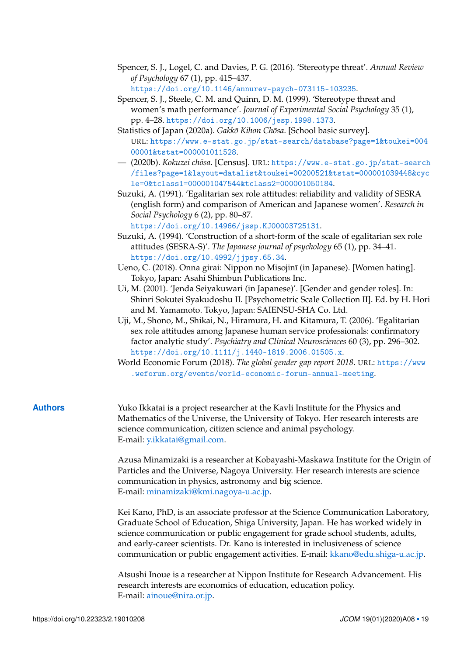- <span id="page-18-1"></span>Spencer, S. J., Logel, C. and Davies, P. G. (2016). 'Stereotype threat'. *Annual Review of Psychology* 67 (1), pp. 415–437. <https://doi.org/10.1146/annurev-psych-073115-103235>.
- <span id="page-18-0"></span>Spencer, S. J., Steele, C. M. and Quinn, D. M. (1999). 'Stereotype threat and women's math performance'. *Journal of Experimental Social Psychology* 35 (1), pp. 4–28. <https://doi.org/10.1006/jesp.1998.1373>.
- <span id="page-18-3"></span>Statistics of Japan (2020a). *Gakkō Kihon Chōsa*. [School basic survey]. URL: [https://www.e-stat.go.jp/stat-search/database?page=1&toukei=004](https://www.e-stat.go.jp/stat-search/database?page=1&toukei=00400001&tstat=000001011528) [00001&tstat=000001011528](https://www.e-stat.go.jp/stat-search/database?page=1&toukei=00400001&tstat=000001011528).
- <span id="page-18-9"></span>— (2020b). *Kokuzei chosa ¯* . [Census]. URL: [https://www.e-stat.go.jp/stat-search](https://www.e-stat.go.jp/stat-search/files?page=1&layout=datalist&toukei=00200521&tstat=000001039448&cycle=0&tclass1=000001047544&tclass2=000001050184) [/files?page=1&layout=datalist&toukei=00200521&tstat=000001039448&cyc](https://www.e-stat.go.jp/stat-search/files?page=1&layout=datalist&toukei=00200521&tstat=000001039448&cycle=0&tclass1=000001047544&tclass2=000001050184) [le=0&tclass1=000001047544&tclass2=000001050184](https://www.e-stat.go.jp/stat-search/files?page=1&layout=datalist&toukei=00200521&tstat=000001039448&cycle=0&tclass1=000001047544&tclass2=000001050184).
- <span id="page-18-8"></span>Suzuki, A. (1991). 'Egalitarian sex role attitudes: reliability and validity of SESRA (english form) and comparison of American and Japanese women'. *Research in Social Psychology* 6 (2), pp. 80–87. <https://doi.org/10.14966/jssp.KJ00003725131>.
- <span id="page-18-5"></span>Suzuki, A. (1994). 'Construction of a short-form of the scale of egalitarian sex role attitudes (SESRA-S)'. *The Japanese journal of psychology* 65 (1), pp. 34–41. <https://doi.org/10.4992/jjpsy.65.34>.
- <span id="page-18-4"></span>Ueno, C. (2018). Onna girai: Nippon no Misojinī (in Japanese). [Women hating]. Tokyo, Japan: Asahi Shimbun Publications Inc.
- <span id="page-18-6"></span>Ui, M. (2001). 'Jenda Seiyakuwari (in Japanese)'. [Gender and gender roles]. In: Shinri Sokutei Syakudoshu II. [Psychometric Scale Collection II]. Ed. by H. Hori and M. Yamamoto. Tokyo, Japan: SAIENSU-SHA Co. Ltd.
- <span id="page-18-7"></span>Uji, M., Shono, M., Shikai, N., Hiramura, H. and Kitamura, T. (2006). 'Egalitarian sex role attitudes among Japanese human service professionals: confirmatory factor analytic study'. *Psychiatry and Clinical Neurosciences* 60 (3), pp. 296–302. <https://doi.org/10.1111/j.1440-1819.2006.01505.x>.
- <span id="page-18-2"></span>World Economic Forum (2018). *The global gender gap report 2018*. URL: [https://www](https://www.weforum.org/events/world-economic-forum-annual-meeting) [.weforum.org/events/world-economic-forum-annual-meeting](https://www.weforum.org/events/world-economic-forum-annual-meeting).
- **Authors** Yuko Ikkatai is a project researcher at the Kavli Institute for the Physics and Mathematics of the Universe, the University of Tokyo. Her research interests are science communication, citizen science and animal psychology. E-mail: [y.ikkatai@gmail.com.](mailto:y.ikkatai@gmail.com)

Azusa Minamizaki is a researcher at Kobayashi-Maskawa Institute for the Origin of Particles and the Universe, Nagoya University. Her research interests are science communication in physics, astronomy and big science. E-mail: [minamizaki@kmi.nagoya-u.ac.jp.](mailto:minamizaki@kmi.nagoya-u.ac.jp)

Kei Kano, PhD, is an associate professor at the Science Communication Laboratory, Graduate School of Education, Shiga University, Japan. He has worked widely in science communication or public engagement for grade school students, adults, and early-career scientists. Dr. Kano is interested in inclusiveness of science communication or public engagement activities. E-mail: [kkano@edu.shiga-u.ac.jp.](mailto:kkano@edu.shiga-u.ac.jp)

Atsushi Inoue is a researcher at Nippon Institute for Research Advancement. His research interests are economics of education, education policy. E-mail: [ainoue@nira.or.jp.](mailto:ainoue@nira.or.jp)